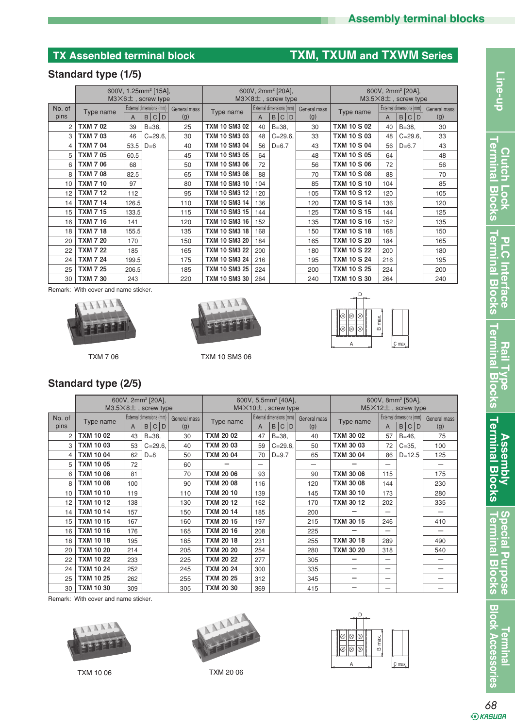# **TX Assenbled terminal block TXM, TXUM and TXWM Series**

## **Standard type (1/5)**

|                | 600V, 1.25mm <sup>2</sup> [15A],<br>$M3\times6$ $\pm$ , screw type                      |                             |                                                     |     | 600V, 2mm <sup>2</sup> [20A],<br>$M3\times8$ ±, screw type |                     |            |     | 600V, 2mm <sup>2</sup> [20A],<br>$M3.5\times8\pm$ , screw type |                     |            |     |
|----------------|-----------------------------------------------------------------------------------------|-----------------------------|-----------------------------------------------------|-----|------------------------------------------------------------|---------------------|------------|-----|----------------------------------------------------------------|---------------------|------------|-----|
| No. of<br>pins | External dimensions (mm)<br>General mass<br>Type name<br>B C D<br>(g)<br>$\overline{A}$ |                             | External dimensions (mm)<br>Type name<br>B C D<br>A |     |                                                            | General mass<br>(g) | Type name  | A   | External dimensions (mm)<br>B C <br>D                          | General mass<br>(g) |            |     |
| 2              | <b>TXM 702</b>                                                                          | 39                          | $B = 38.$                                           | 25  | <b>TXM 10 SM3 02</b>                                       | 40                  | $B = 38.$  | 30  | <b>TXM 10 S 02</b>                                             | 40                  | $B = 38$ . | 30  |
| 3              | <b>TXM 703</b>                                                                          | 46                          | $C = 29.6$                                          | 30  | <b>TXM 10 SM3 03</b>                                       | 48                  | $C = 29.6$ | 33  | <b>TXM 10 S 03</b>                                             | 48                  | $C = 29.6$ | 33  |
| 4              | <b>TXM 704</b>                                                                          | 53.5<br>$D=6$<br>60.5<br>68 |                                                     | 40  | <b>TXM 10 SM3 04</b>                                       | 56                  | $D=6.7$    | 43  | <b>TXM 10 S 04</b>                                             | 56                  | $D=6.7$    | 43  |
| 5              | <b>TXM 705</b>                                                                          |                             |                                                     | 45  | <b>TXM 10 SM3 05</b>                                       | 64                  |            | 48  | <b>TXM 10 S 05</b>                                             | 64                  |            | 48  |
| 6              | <b>TXM 7 06</b>                                                                         |                             |                                                     | 50  | <b>TXM 10 SM3 06</b>                                       | 72                  |            | 56  | <b>TXM 10 S 06</b>                                             | 72                  |            | 56  |
| 8              | <b>TXM 7 08</b>                                                                         | 82.5                        |                                                     | 65  | <b>TXM 10 SM3 08</b>                                       | 88                  |            | 70  | <b>TXM 10 S 08</b>                                             | 88                  |            | 70  |
| 10             | <b>TXM 7 10</b>                                                                         | 97                          |                                                     | 80  | <b>TXM 10 SM3 10</b>                                       | 104                 |            | 85  | <b>TXM 10 S 10</b>                                             | 104                 |            | 85  |
| 12             | <b>TXM 7 12</b>                                                                         | 112                         |                                                     | 95  | <b>TXM 10 SM3 12</b>                                       | 120                 |            | 105 | <b>TXM 10 S 12</b>                                             | 120                 |            | 105 |
| 14             | <b>TXM 7 14</b>                                                                         | 126.5                       |                                                     | 110 | <b>TXM 10 SM3 14</b>                                       | 136                 |            | 120 | <b>TXM 10 S 14</b>                                             | 136                 |            | 120 |
| 15             | <b>TXM 7 15</b>                                                                         | 133.5                       |                                                     | 115 | <b>TXM 10 SM3 15</b>                                       | 144                 |            | 125 | <b>TXM 10 S 15</b>                                             | 144                 |            | 125 |
| 16             | <b>TXM 7 16</b>                                                                         | 141                         |                                                     | 120 | <b>TXM 10 SM3 16</b>                                       | 152                 |            | 135 | <b>TXM 10 S 16</b>                                             | 152                 |            | 135 |
| 18             | <b>TXM 7 18</b>                                                                         | 155.5                       |                                                     | 135 | <b>TXM 10 SM3 18</b>                                       | 168                 |            | 150 | <b>TXM 10 S 18</b>                                             | 168                 |            | 150 |
| 20             | <b>TXM 7 20</b>                                                                         | 170                         |                                                     | 150 | <b>TXM 10 SM3 20</b>                                       | 184                 |            | 165 | <b>TXM 10 S 20</b>                                             | 184                 |            | 165 |
| 22             | <b>TXM 7 22</b>                                                                         | 185                         |                                                     | 165 | <b>TXM 10 SM3 22</b>                                       | 200                 |            | 180 | <b>TXM 10 S 22</b>                                             | 200                 |            | 180 |
| 24             | <b>TXM 7 24</b>                                                                         | 199.5                       |                                                     | 175 | <b>TXM 10 SM3 24</b>                                       | 216                 |            | 195 | <b>TXM 10 S 24</b>                                             | 216                 |            | 195 |
| 25             | <b>TXM 7 25</b>                                                                         | 206.5                       |                                                     | 185 | <b>TXM 10 SM3 25</b>                                       | 224                 |            | 200 | <b>TXM 10 S 25</b>                                             | 224                 |            | 200 |
| 30             | <b>TXM 7 30</b>                                                                         | 243                         |                                                     | 220 | <b>TXM 10 SM3 30</b>                                       | 264                 |            | 240 | <b>TXM 10 S 30</b>                                             | 264                 |            | 240 |

Remark: With cover and name sticker.





TXM 7 06 TXM 10 SM3 06



|  | Standard type (2/5) |  |  |
|--|---------------------|--|--|
|--|---------------------|--|--|

|                | 600V, 2mm <sup>2</sup> [20A],<br>$M3.5\times8\pm$ , screw type              |     |            |           | 600V, 5.5mm <sup>2</sup> [40A],<br>$M4\times10+$ , screw type |                                   |                     |           | 600V, 8mm <sup>2</sup> [50A],<br>$M5\times12+$ , screw type |                                   |                     |     |
|----------------|-----------------------------------------------------------------------------|-----|------------|-----------|---------------------------------------------------------------|-----------------------------------|---------------------|-----------|-------------------------------------------------------------|-----------------------------------|---------------------|-----|
| No. of<br>pins | External dimensions (mm)<br>General mass<br>Type name<br>l C<br>D<br>B<br>A |     | (g)        | Type name | A                                                             | External dimensions (mm)<br>B C D | General mass<br>(g) | Type name | A                                                           | External dimensions (mm)<br>B C D | General mass<br>(g) |     |
| 2              | <b>TXM 1002</b>                                                             | 43  | $B = 38$ . | 30        | <b>TXM 20 02</b>                                              | 47                                | $B = 38$ .          | 40        | <b>TXM 30 02</b>                                            | 57                                | $B = 46$ .          | 75  |
| 3              | <b>TXM 1003</b>                                                             | 53  | $C = 29.6$ | 40        | <b>TXM 20 03</b>                                              | 59                                | $C = 29.6$          | 50        | <b>TXM 30 03</b>                                            | 72                                | $C = 35.$           | 100 |
| 4              | <b>TXM 1004</b>                                                             | 62  | $D=8$      | 50        | <b>TXM 20 04</b>                                              | 70                                | $D = 9.7$           | 65        | <b>TXM 30 04</b>                                            | 86                                | $D=12.5$            | 125 |
| 5              | <b>TXM 1005</b>                                                             | 72  |            | 60        |                                                               |                                   |                     |           |                                                             |                                   |                     | —   |
| 6              | TXM 10 06                                                                   | 81  |            | 70        | <b>TXM 20 06</b>                                              | 93                                |                     | 90        | <b>TXM 30 06</b>                                            | 115                               |                     | 175 |
| 8              | TXM 10 08                                                                   | 100 |            | 90        | <b>TXM 20 08</b>                                              | 116                               |                     | 120       | <b>TXM 30 08</b>                                            | 144                               |                     | 230 |
| 10             | <b>TXM 10 10</b>                                                            | 119 |            | 110       | <b>TXM 20 10</b>                                              | 139                               |                     | 145       | <b>TXM 30 10</b>                                            | 173                               |                     | 280 |
| 12             | <b>TXM 1012</b>                                                             | 138 |            | 130       | <b>TXM 20 12</b>                                              | 162                               |                     | 170       | <b>TXM 30 12</b>                                            | 202                               |                     | 335 |
| 14             | <b>TXM 10 14</b>                                                            | 157 |            | 150       | <b>TXM 20 14</b>                                              | 185                               |                     | 200       |                                                             |                                   |                     | —   |
| 15             | <b>TXM 10 15</b>                                                            | 167 |            | 160       | <b>TXM 20 15</b>                                              | 197                               |                     | 215       | <b>TXM 30 15</b>                                            | 246                               |                     | 410 |
| 16             | <b>TXM 10 16</b>                                                            | 176 |            | 165       | <b>TXM 20 16</b>                                              | 208                               |                     | 225       |                                                             |                                   |                     |     |
| 18             | <b>TXM 10 18</b>                                                            | 195 |            | 185       | <b>TXM 20 18</b>                                              | 231                               |                     | 255       | <b>TXM 30 18</b>                                            | 289                               |                     | 490 |
| 20             | <b>TXM 10 20</b>                                                            | 214 |            | 205       | <b>TXM 20 20</b>                                              | 254                               |                     | 280       | <b>TXM 30 20</b>                                            | 318                               |                     | 540 |
| 22             | <b>TXM 10 22</b>                                                            | 233 |            | 225       | <b>TXM 20 22</b>                                              | 277                               |                     | 305       |                                                             |                                   |                     | —   |
| 24             | <b>TXM 10 24</b>                                                            | 252 |            | 245       | <b>TXM 20 24</b>                                              | 300                               |                     | 335       |                                                             |                                   |                     | —   |
| 25             | <b>TXM 10 25</b>                                                            | 262 |            | 255       | <b>TXM 20 25</b>                                              | 312                               |                     | 345       |                                                             |                                   |                     |     |
| 30             | <b>TXM 10 30</b>                                                            | 309 |            | 305       | <b>TXM 20 30</b>                                              | 369                               |                     | 415       |                                                             |                                   |                     | —   |

Remark: With cover and name sticker.





TXM 10 06 TXM 20 06



**Special Purpose**<br>Terminal Blocks **Terminal Blocks Special Purpose**

**Block Accessories Terminal**